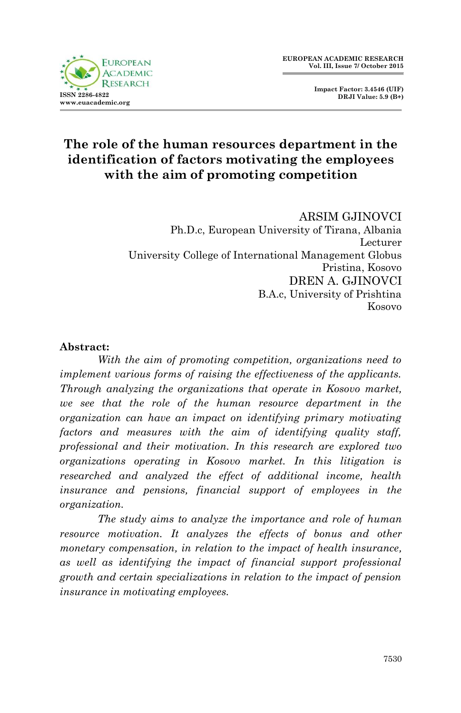

 **Impact Factor: 3.4546 (UIF) DRJI Value: 5.9 (B+)**

# **The role of the human resources department in the identification of factors motivating the employees with the aim of promoting competition**

ARSIM GJINOVCI Ph.D.c, European University of Tirana, Albania Lecturer University College of International Management Globus Pristina, Kosovo DREN A. GJINOVCI B.A.c, University of Prishtina Kosovo

#### **Abstract:**

*With the aim of promoting competition, organizations need to implement various forms of raising the effectiveness of the applicants. Through analyzing the organizations that operate in Kosovo market, we see that the role of the human resource department in the organization can have an impact on identifying primary motivating factors and measures with the aim of identifying quality staff, professional and their motivation. In this research are explored two organizations operating in Kosovo market. In this litigation is researched and analyzed the effect of additional income, health insurance and pensions, financial support of employees in the organization.*

*The study aims to analyze the importance and role of human resource motivation. It analyzes the effects of bonus and other monetary compensation, in relation to the impact of health insurance, as well as identifying the impact of financial support professional growth and certain specializations in relation to the impact of pension insurance in motivating employees.*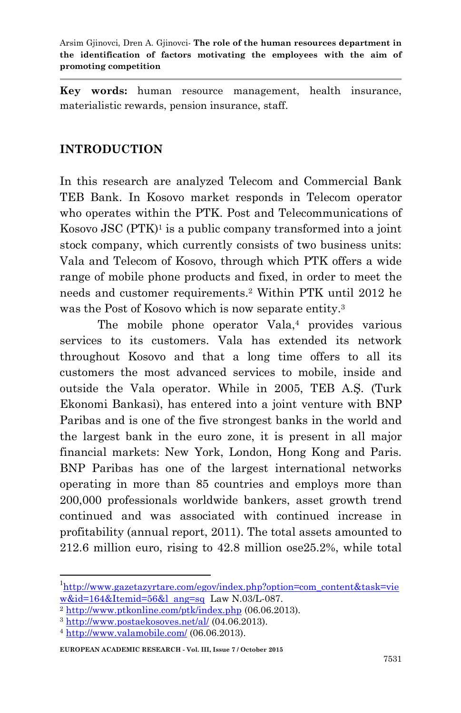**Key words:** human resource management, health insurance, materialistic rewards, pension insurance, staff.

## **INTRODUCTION**

In this research are analyzed Telecom and Commercial Bank TEB Bank. In Kosovo market responds in Telecom operator who operates within the PTK. Post and Telecommunications of Kosovo JSC (PTK)<sup>1</sup> is a public company transformed into a joint stock company, which currently consists of two business units: Vala and Telecom of Kosovo, through which PTK offers a wide range of mobile phone products and fixed, in order to meet the needs and customer requirements. <sup>2</sup> Within PTK until 2012 he was the Post of Kosovo which is now separate entity.<sup>3</sup>

The mobile phone operator Vala, <sup>4</sup> provides various services to its customers. Vala has extended its network throughout Kosovo and that a long time offers to all its customers the most advanced services to mobile, inside and outside the Vala operator. While in 2005, TEB A.Ş. (Turk Ekonomi Bankasi), has entered into a joint venture with BNP Paribas and is one of the five strongest banks in the world and the largest bank in the euro zone, it is present in all major financial markets: New York, London, Hong Kong and Paris. BNP Paribas has one of the largest international networks operating in more than 85 countries and employs more than 200,000 professionals worldwide bankers, asset growth trend continued and was associated with continued increase in profitability (annual report, 2011). The total assets amounted to 212.6 million euro, rising to 42.8 million ose25.2%, while total

**.** 

#### **EUROPEAN ACADEMIC RESEARCH - Vol. III, Issue 7 / October 2015**

<sup>&</sup>lt;sup>1</sup>[http://www.gazetazyrtare.com/egov/index.php?option=com\\_content&task=vie](http://www.gazetazyrtare.com/egov/index.php?option=com_content&task=view&id=164&Itemid=56&l%20%20ang=sq) [w&id=164&Itemid=56&l ang=sq](http://www.gazetazyrtare.com/egov/index.php?option=com_content&task=view&id=164&Itemid=56&l%20%20ang=sq) Law N.03/L-087.

<sup>2</sup> <http://www.ptkonline.com/ptk/index.php> (06.06.2013).

<sup>3</sup> <http://www.postaekosoves.net/al/> (04.06.2013).

<sup>4</sup> <http://www.valamobile.com/> (06.06.2013).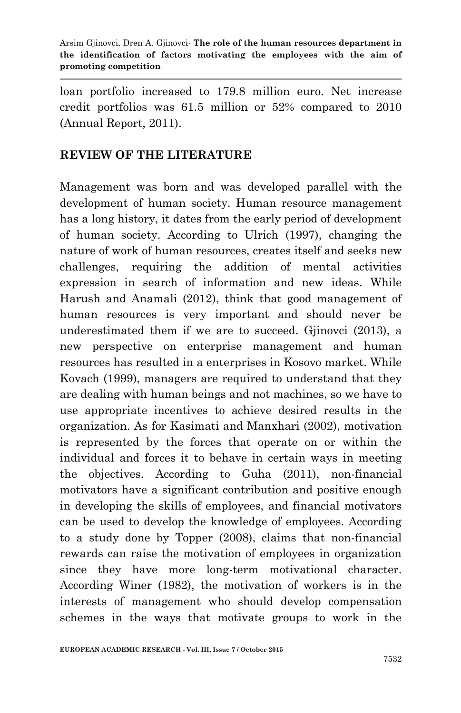loan portfolio increased to 179.8 million euro. Net increase credit portfolios was 61.5 million or 52% compared to 2010 (Annual Report, 2011).

#### **REVIEW OF THE LITERATURE**

Management was born and was developed parallel with the development of human society. Human resource management has a long history, it dates from the early period of development of human society. According to Ulrich (1997), changing the nature of work of human resources, creates itself and seeks new challenges, requiring the addition of mental activities expression in search of information and new ideas. While Harush and Anamali (2012), think that good management of human resources is very important and should never be underestimated them if we are to succeed. Gjinovci (2013), a new perspective on enterprise management and human resources has resulted in a enterprises in Kosovo market. While Kovach (1999), managers are required to understand that they are dealing with human beings and not machines, so we have to use appropriate incentives to achieve desired results in the organization. As for Kasimati and Manxhari (2002), motivation is represented by the forces that operate on or within the individual and forces it to behave in certain ways in meeting the objectives. According to Guha (2011), non-financial motivators have a significant contribution and positive enough in developing the skills of employees, and financial motivators can be used to develop the knowledge of employees. According to a study done by Topper (2008), claims that non-financial rewards can raise the motivation of employees in organization since they have more long-term motivational character. According Winer (1982), the motivation of workers is in the interests of management who should develop compensation schemes in the ways that motivate groups to work in the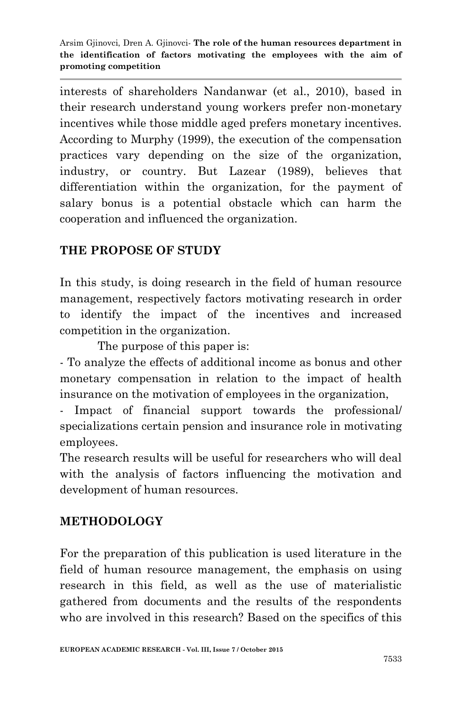interests of shareholders Nandanwar (et al., 2010), based in their research understand young workers prefer non-monetary incentives while those middle aged prefers monetary incentives. According to Murphy (1999), the execution of the compensation practices vary depending on the size of the organization, industry, or country. But Lazear (1989), believes that differentiation within the organization, for the payment of salary bonus is a potential obstacle which can harm the cooperation and influenced the organization.

# **THE PROPOSE OF STUDY**

In this study, is doing research in the field of human resource management, respectively factors motivating research in order to identify the impact of the incentives and increased competition in the organization.

The purpose of this paper is:

- To analyze the effects of additional income as bonus and other monetary compensation in relation to the impact of health insurance on the motivation of employees in the organization,

- Impact of financial support towards the professional/ specializations certain pension and insurance role in motivating employees.

The research results will be useful for researchers who will deal with the analysis of factors influencing the motivation and development of human resources.

## **METHODOLOGY**

For the preparation of this publication is used literature in the field of human resource management, the emphasis on using research in this field, as well as the use of materialistic gathered from documents and the results of the respondents who are involved in this research? Based on the specifics of this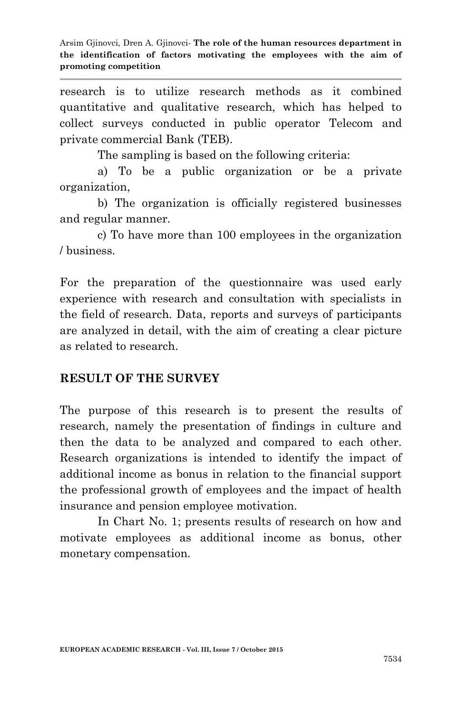research is to utilize research methods as it combined quantitative and qualitative research, which has helped to collect surveys conducted in public operator Telecom and private commercial Bank (TEB).

The sampling is based on the following criteria:

a) To be a public organization or be a private organization,

b) The organization is officially registered businesses and regular manner.

c) To have more than 100 employees in the organization / business.

For the preparation of the questionnaire was used early experience with research and consultation with specialists in the field of research. Data, reports and surveys of participants are analyzed in detail, with the aim of creating a clear picture as related to research.

## **RESULT OF THE SURVEY**

The purpose of this research is to present the results of research, namely the presentation of findings in culture and then the data to be analyzed and compared to each other. Research organizations is intended to identify the impact of additional income as bonus in relation to the financial support the professional growth of employees and the impact of health insurance and pension employee motivation.

In Chart No. 1; presents results of research on how and motivate employees as additional income as bonus, other monetary compensation.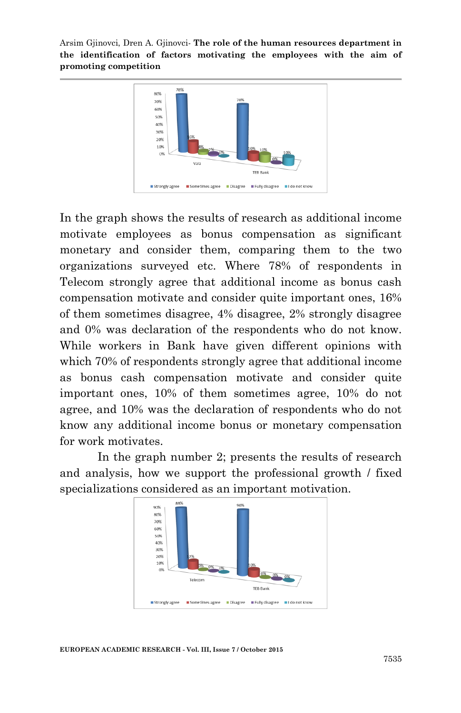

In the graph shows the results of research as additional income motivate employees as bonus compensation as significant monetary and consider them, comparing them to the two organizations surveyed etc. Where 78% of respondents in Telecom strongly agree that additional income as bonus cash compensation motivate and consider quite important ones, 16% of them sometimes disagree, 4% disagree, 2% strongly disagree and 0% was declaration of the respondents who do not know. While workers in Bank have given different opinions with which 70% of respondents strongly agree that additional income as bonus cash compensation motivate and consider quite important ones, 10% of them sometimes agree, 10% do not agree, and 10% was the declaration of respondents who do not know any additional income bonus or monetary compensation for work motivates.

In the graph number 2; presents the results of research and analysis, how we support the professional growth / fixed specializations considered as an important motivation.



**EUROPEAN ACADEMIC RESEARCH - Vol. III, Issue 7 / October 2015**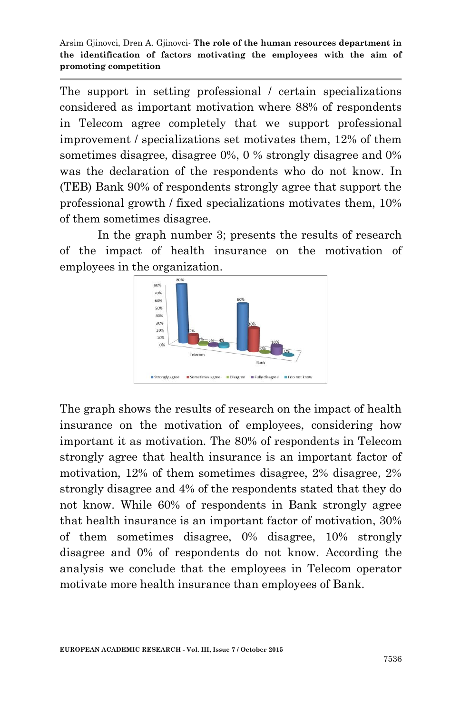The support in setting professional / certain specializations considered as important motivation where 88% of respondents in Telecom agree completely that we support professional improvement / specializations set motivates them, 12% of them sometimes disagree, disagree 0%, 0 % strongly disagree and 0% was the declaration of the respondents who do not know. In (TEB) Bank 90% of respondents strongly agree that support the professional growth / fixed specializations motivates them, 10% of them sometimes disagree.

In the graph number 3; presents the results of research of the impact of health insurance on the motivation of employees in the organization.



The graph shows the results of research on the impact of health insurance on the motivation of employees, considering how important it as motivation. The 80% of respondents in Telecom strongly agree that health insurance is an important factor of motivation, 12% of them sometimes disagree, 2% disagree, 2% strongly disagree and 4% of the respondents stated that they do not know. While 60% of respondents in Bank strongly agree that health insurance is an important factor of motivation, 30% of them sometimes disagree, 0% disagree, 10% strongly disagree and 0% of respondents do not know. According the analysis we conclude that the employees in Telecom operator motivate more health insurance than employees of Bank.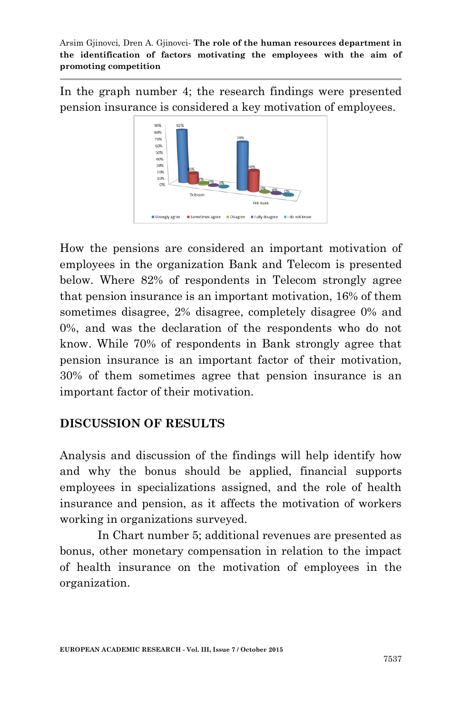In the graph number 4; the research findings were presented pension insurance is considered a key motivation of employees.



How the pensions are considered an important motivation of employees in the organization Bank and Telecom is presented below. Where 82% of respondents in Telecom strongly agree that pension insurance is an important motivation, 16% of them sometimes disagree, 2% disagree, completely disagree 0% and 0%, and was the declaration of the respondents who do not know. While 70% of respondents in Bank strongly agree that pension insurance is an important factor of their motivation, 30% of them sometimes agree that pension insurance is an important factor of their motivation.

#### **DISCUSSION OF RESULTS**

Analysis and discussion of the findings will help identify how and why the bonus should be applied, financial supports employees in specializations assigned, and the role of health insurance and pension, as it affects the motivation of workers working in organizations surveyed.

In Chart number 5; additional revenues are presented as bonus, other monetary compensation in relation to the impact of health insurance on the motivation of employees in the organization.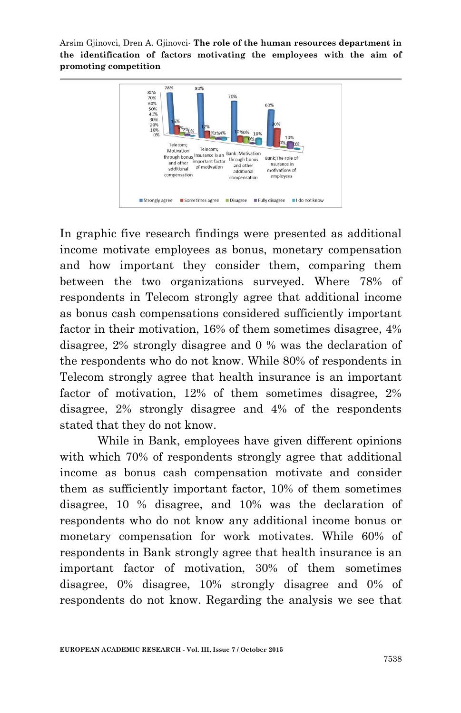

In graphic five research findings were presented as additional income motivate employees as bonus, monetary compensation and how important they consider them, comparing them between the two organizations surveyed. Where 78% of respondents in Telecom strongly agree that additional income as bonus cash compensations considered sufficiently important factor in their motivation, 16% of them sometimes disagree, 4% disagree, 2% strongly disagree and 0 % was the declaration of the respondents who do not know. While 80% of respondents in Telecom strongly agree that health insurance is an important factor of motivation, 12% of them sometimes disagree, 2% disagree, 2% strongly disagree and 4% of the respondents stated that they do not know.

While in Bank, employees have given different opinions with which 70% of respondents strongly agree that additional income as bonus cash compensation motivate and consider them as sufficiently important factor, 10% of them sometimes disagree, 10 % disagree, and 10% was the declaration of respondents who do not know any additional income bonus or monetary compensation for work motivates. While 60% of respondents in Bank strongly agree that health insurance is an important factor of motivation, 30% of them sometimes disagree, 0% disagree, 10% strongly disagree and 0% of respondents do not know. Regarding the analysis we see that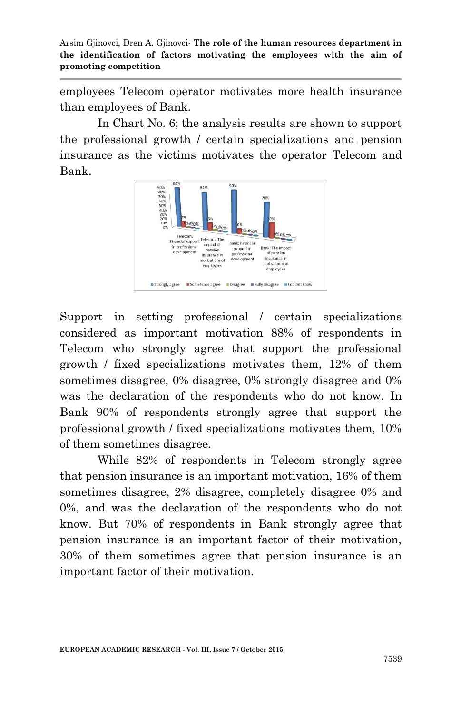employees Telecom operator motivates more health insurance than employees of Bank.

In Chart No. 6; the analysis results are shown to support the professional growth / certain specializations and pension insurance as the victims motivates the operator Telecom and Bank.



Support in setting professional / certain specializations considered as important motivation 88% of respondents in Telecom who strongly agree that support the professional growth / fixed specializations motivates them, 12% of them sometimes disagree, 0% disagree, 0% strongly disagree and 0% was the declaration of the respondents who do not know. In Bank 90% of respondents strongly agree that support the professional growth / fixed specializations motivates them, 10% of them sometimes disagree.

While 82% of respondents in Telecom strongly agree that pension insurance is an important motivation, 16% of them sometimes disagree, 2% disagree, completely disagree 0% and 0%, and was the declaration of the respondents who do not know. But 70% of respondents in Bank strongly agree that pension insurance is an important factor of their motivation, 30% of them sometimes agree that pension insurance is an important factor of their motivation.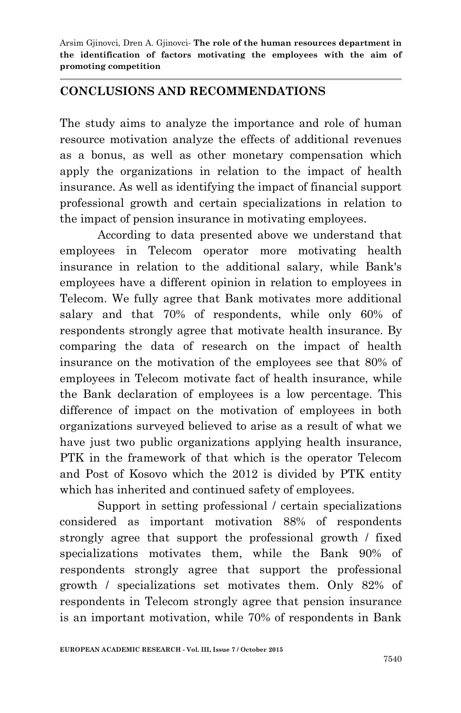#### **CONCLUSIONS AND RECOMMENDATIONS**

The study aims to analyze the importance and role of human resource motivation analyze the effects of additional revenues as a bonus, as well as other monetary compensation which apply the organizations in relation to the impact of health insurance. As well as identifying the impact of financial support professional growth and certain specializations in relation to the impact of pension insurance in motivating employees.

According to data presented above we understand that employees in Telecom operator more motivating health insurance in relation to the additional salary, while Bank's employees have a different opinion in relation to employees in Telecom. We fully agree that Bank motivates more additional salary and that 70% of respondents, while only 60% of respondents strongly agree that motivate health insurance. By comparing the data of research on the impact of health insurance on the motivation of the employees see that 80% of employees in Telecom motivate fact of health insurance, while the Bank declaration of employees is a low percentage. This difference of impact on the motivation of employees in both organizations surveyed believed to arise as a result of what we have just two public organizations applying health insurance, PTK in the framework of that which is the operator Telecom and Post of Kosovo which the 2012 is divided by PTK entity which has inherited and continued safety of employees.

Support in setting professional / certain specializations considered as important motivation 88% of respondents strongly agree that support the professional growth / fixed specializations motivates them, while the Bank 90% of respondents strongly agree that support the professional growth / specializations set motivates them. Only 82% of respondents in Telecom strongly agree that pension insurance is an important motivation, while 70% of respondents in Bank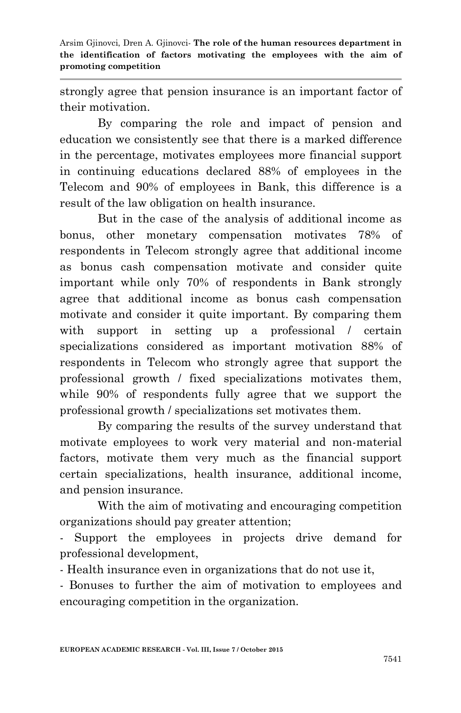strongly agree that pension insurance is an important factor of their motivation.

By comparing the role and impact of pension and education we consistently see that there is a marked difference in the percentage, motivates employees more financial support in continuing educations declared 88% of employees in the Telecom and 90% of employees in Bank, this difference is a result of the law obligation on health insurance.

But in the case of the analysis of additional income as bonus, other monetary compensation motivates 78% of respondents in Telecom strongly agree that additional income as bonus cash compensation motivate and consider quite important while only 70% of respondents in Bank strongly agree that additional income as bonus cash compensation motivate and consider it quite important. By comparing them with support in setting up a professional / certain specializations considered as important motivation 88% of respondents in Telecom who strongly agree that support the professional growth / fixed specializations motivates them, while 90% of respondents fully agree that we support the professional growth / specializations set motivates them.

By comparing the results of the survey understand that motivate employees to work very material and non-material factors, motivate them very much as the financial support certain specializations, health insurance, additional income, and pension insurance.

With the aim of motivating and encouraging competition organizations should pay greater attention;

- Support the employees in projects drive demand for professional development,

- Health insurance even in organizations that do not use it,

- Bonuses to further the aim of motivation to employees and encouraging competition in the organization.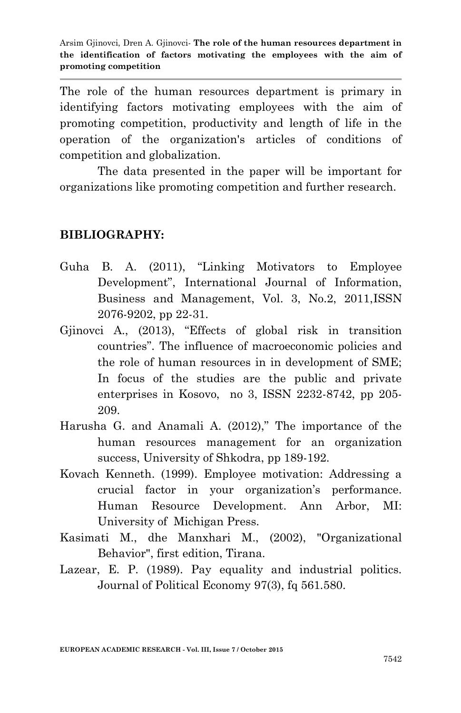The role of the human resources department is primary in identifying factors motivating employees with the aim of promoting competition, productivity and length of life in the operation of the organization's articles of conditions of competition and globalization.

The data presented in the paper will be important for organizations like promoting competition and further research.

## **BIBLIOGRAPHY:**

- Guha B. A. (2011), "Linking Motivators to Employee Development", International Journal of Information, Business and Management, Vol. 3, No.2, 2011,ISSN 2076-9202, pp 22-31.
- Gjinovci A., (2013), "Effects of global risk in transition countries". The influence of macroeconomic policies and the role of human resources in in development of SME; In focus of the studies are the public and private enterprises in Kosovo, no 3, ISSN 2232-8742, pp 205- 209.
- Harusha G. and Anamali A. (2012)," The importance of the human resources management for an organization success, University of Shkodra, pp 189-192.
- Kovach Kenneth. (1999). Employee motivation: Addressing a crucial factor in your organization's performance. Human Resource Development. Ann Arbor, MI: University of Michigan Press.
- Kasimati M., dhe Manxhari M., (2002), "Organizational Behavior", first edition, Tirana.
- Lazear, E. P. (1989). Pay equality and industrial politics. Journal of Political Economy 97(3), fq 561.580.